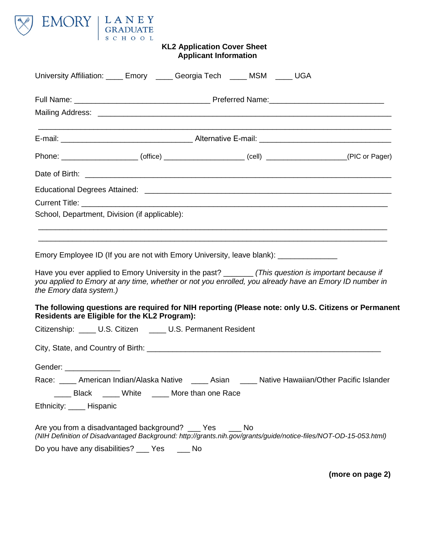

## **KL2 Application Cover Sheet Applicant Information**

| University Affiliation: ____ Emory _____ Georgia Tech ____ MSM ____ UGA                                                                                                                                                                   |  |                                        |  |  |                                        |
|-------------------------------------------------------------------------------------------------------------------------------------------------------------------------------------------------------------------------------------------|--|----------------------------------------|--|--|----------------------------------------|
|                                                                                                                                                                                                                                           |  |                                        |  |  |                                        |
|                                                                                                                                                                                                                                           |  |                                        |  |  |                                        |
|                                                                                                                                                                                                                                           |  |                                        |  |  |                                        |
| Phone: ______________________(office) ______________________(cell) ____________________(PIC or Pager)                                                                                                                                     |  |                                        |  |  |                                        |
|                                                                                                                                                                                                                                           |  |                                        |  |  |                                        |
|                                                                                                                                                                                                                                           |  |                                        |  |  |                                        |
|                                                                                                                                                                                                                                           |  |                                        |  |  |                                        |
| School, Department, Division (if applicable):                                                                                                                                                                                             |  |                                        |  |  |                                        |
|                                                                                                                                                                                                                                           |  |                                        |  |  |                                        |
| Emory Employee ID (If you are not with Emory University, leave blank): _______________                                                                                                                                                    |  |                                        |  |  |                                        |
|                                                                                                                                                                                                                                           |  |                                        |  |  |                                        |
| Have you ever applied to Emory University in the past? _______ (This question is important because if<br>you applied to Emory at any time, whether or not you enrolled, you already have an Emory ID number in<br>the Emory data system.) |  |                                        |  |  |                                        |
| The following questions are required for NIH reporting (Please note: only U.S. Citizens or Permanent<br>Residents are Eligible for the KL2 Program):                                                                                      |  |                                        |  |  |                                        |
| Citizenship: ____ U.S. Citizen ____ U.S. Permanent Resident                                                                                                                                                                               |  |                                        |  |  |                                        |
|                                                                                                                                                                                                                                           |  |                                        |  |  |                                        |
| Gender: _______________                                                                                                                                                                                                                   |  |                                        |  |  |                                        |
| ____ American Indian/Alaska Native<br>Race:                                                                                                                                                                                               |  | Asian                                  |  |  | Native Hawaiian/Other Pacific Islander |
|                                                                                                                                                                                                                                           |  | Black ____White ____More than one Race |  |  |                                        |
| Ethnicity: _____ Hispanic                                                                                                                                                                                                                 |  |                                        |  |  |                                        |
| Are you from a disadvantaged background? ___ Yes ___ No<br>(NIH Definition of Disadvantaged Background: http://grants.nih.gov/grants/guide/notice-files/NOT-OD-15-053.html)                                                               |  |                                        |  |  |                                        |
| Do you have any disabilities? ___ Yes ___ No                                                                                                                                                                                              |  |                                        |  |  |                                        |

**(more on page 2)**